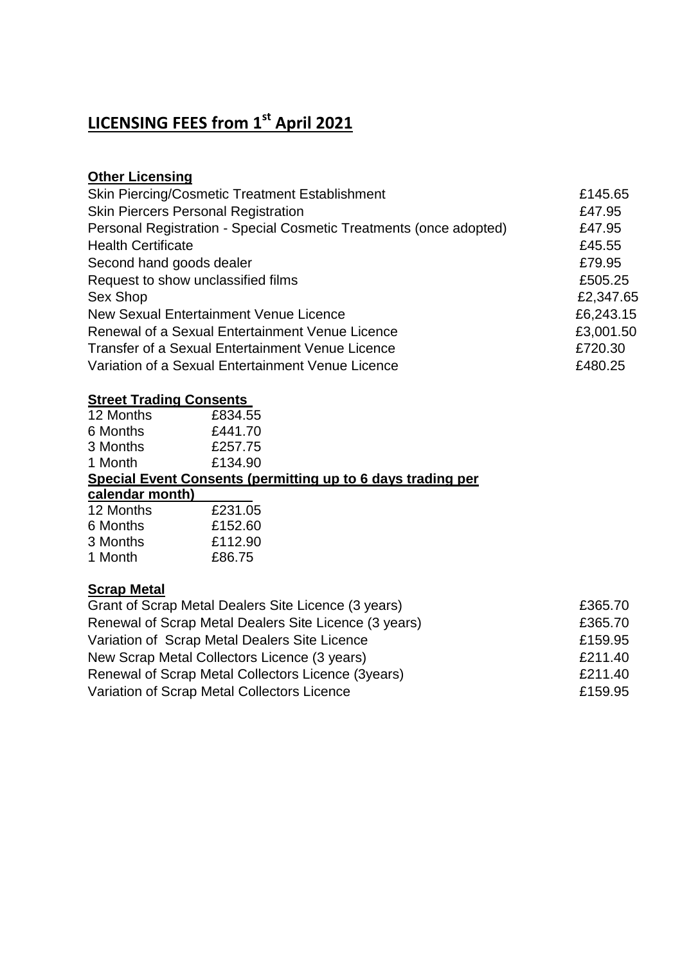# **LICENSING FEES from 1st April 2021**

# **Other Licensing**

| £145.65   |
|-----------|
| £47.95    |
| £47.95    |
| £45.55    |
| £79.95    |
| £505.25   |
| £2,347.65 |
| £6,243.15 |
| £3,001.50 |
| £720.30   |
| £480.25   |
|           |

# **Street Trading Consents**

| 12 Months       | £834.55                                                     |
|-----------------|-------------------------------------------------------------|
| 6 Months        | £441.70                                                     |
| 3 Months        | £257.75                                                     |
| 1 Month         | £134.90                                                     |
|                 | Special Event Consents (permitting up to 6 days trading per |
| calendar month) |                                                             |
| 12 Months       | £231.05                                                     |
| 6 Months        | £152.60                                                     |
| 3 Months        | £112.90                                                     |
| 1 Month         | £86.75                                                      |
|                 |                                                             |

### **Scrap Metal**

| Grant of Scrap Metal Dealers Site Licence (3 years)   | £365.70 |
|-------------------------------------------------------|---------|
| Renewal of Scrap Metal Dealers Site Licence (3 years) | £365.70 |
| Variation of Scrap Metal Dealers Site Licence         | £159.95 |
| New Scrap Metal Collectors Licence (3 years)          | £211.40 |
| Renewal of Scrap Metal Collectors Licence (3years)    | £211.40 |
| Variation of Scrap Metal Collectors Licence           | £159.95 |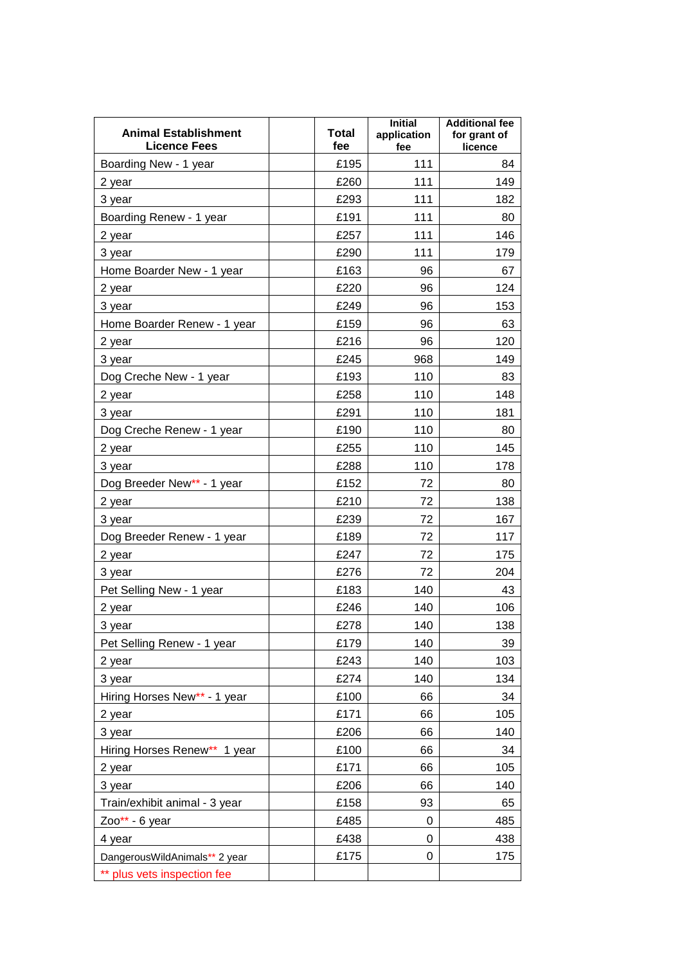| <b>Animal Establishment</b><br><b>Licence Fees</b> | <b>Total</b><br>fee | <b>Initial</b><br>application<br>fee | <b>Additional fee</b><br>for grant of<br>licence |
|----------------------------------------------------|---------------------|--------------------------------------|--------------------------------------------------|
| Boarding New - 1 year                              | £195                | 111                                  | 84                                               |
| 2 year                                             | £260                | 111                                  | 149                                              |
| 3 year                                             | £293                | 111                                  | 182                                              |
| Boarding Renew - 1 year                            | £191                | 111                                  | 80                                               |
| 2 year                                             | £257                | 111                                  | 146                                              |
| 3 year                                             | £290                | 111                                  | 179                                              |
| Home Boarder New - 1 year                          | £163                | 96                                   | 67                                               |
| 2 year                                             | £220                | 96                                   | 124                                              |
| 3 year                                             | £249                | 96                                   | 153                                              |
| Home Boarder Renew - 1 year                        | £159                | 96                                   | 63                                               |
| 2 year                                             | £216                | 96                                   | 120                                              |
| 3 year                                             | £245                | 968                                  | 149                                              |
| Dog Creche New - 1 year                            | £193                | 110                                  | 83                                               |
| 2 year                                             | £258                | 110                                  | 148                                              |
| 3 year                                             | £291                | 110                                  | 181                                              |
| Dog Creche Renew - 1 year                          | £190                | 110                                  | 80                                               |
| 2 year                                             | £255                | 110                                  | 145                                              |
| 3 year                                             | £288                | 110                                  | 178                                              |
| Dog Breeder New** - 1 year                         | £152                | 72                                   | 80                                               |
| 2 year                                             | £210                | 72                                   | 138                                              |
| 3 year                                             | £239                | 72                                   | 167                                              |
| Dog Breeder Renew - 1 year                         | £189                | 72                                   | 117                                              |
| 2 year                                             | £247                | 72                                   | 175                                              |
| 3 year                                             | £276                | 72                                   | 204                                              |
| Pet Selling New - 1 year                           | £183                | 140                                  | 43                                               |
| 2 year                                             | £246                | 140                                  | 106                                              |
| 3 year                                             | £278                | 140                                  | 138                                              |
| Pet Selling Renew - 1 year                         | £179                | 140                                  | 39                                               |
| 2 year                                             | £243                | 140                                  | 103                                              |
| 3 year                                             | £274                | 140                                  | 134                                              |
| Hiring Horses New** - 1 year                       | £100                | 66                                   | 34                                               |
|                                                    | £171                | 66                                   | 105                                              |
| 2 year                                             | £206                | 66                                   | 140                                              |
| 3 year<br>Hiring Horses Renew** 1 year             | £100                | 66                                   | 34                                               |
|                                                    |                     |                                      |                                                  |
| 2 year                                             | £171                | 66                                   | 105                                              |
| 3 year                                             | £206                | 66                                   | 140                                              |
| Train/exhibit animal - 3 year                      | £158                | 93                                   | 65                                               |
| $Zoo** - 6$ year                                   | £485                | 0                                    | 485                                              |
| 4 year                                             | £438                | 0                                    | 438                                              |
| DangerousWildAnimals** 2 year                      | £175                | 0                                    | 175                                              |
| ** plus vets inspection fee                        |                     |                                      |                                                  |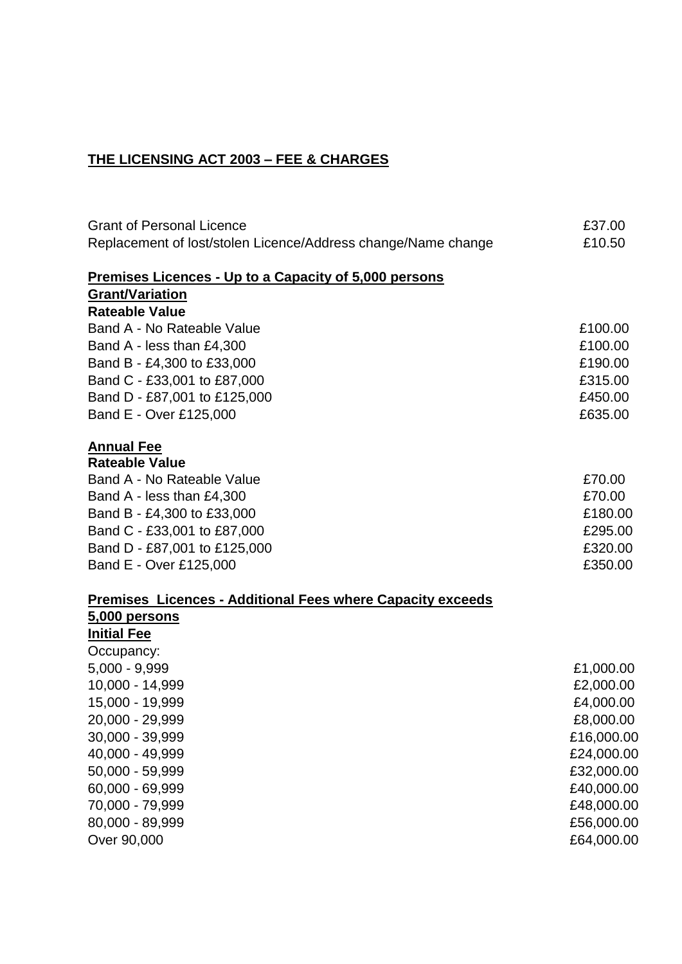## **THE LICENSING ACT 2003 – FEE & CHARGES**

| <b>Grant of Personal Licence</b>                              | £37.00     |
|---------------------------------------------------------------|------------|
| Replacement of lost/stolen Licence/Address change/Name change | £10.50     |
| <u>Premises Licences - Up to a Capacity of 5,000 persons</u>  |            |
| <b>Grant/Variation</b>                                        |            |
| <b>Rateable Value</b>                                         |            |
| Band A - No Rateable Value                                    | £100.00    |
| Band A - less than £4,300                                     | £100.00    |
| Band B - £4,300 to £33,000                                    | £190.00    |
| Band C - £33,001 to £87,000                                   | £315.00    |
| Band D - £87,001 to £125,000                                  | £450.00    |
| Band E - Over £125,000                                        | £635.00    |
| <b>Annual Fee</b>                                             |            |
| <b>Rateable Value</b>                                         |            |
| Band A - No Rateable Value                                    | £70.00     |
| Band A - less than £4,300                                     | £70.00     |
| Band B - £4,300 to £33,000                                    | £180.00    |
| Band C - £33,001 to £87,000                                   | £295.00    |
| Band D - £87,001 to £125,000                                  | £320.00    |
| Band E - Over £125,000                                        | £350.00    |
| Premises Licences - Additional Fees where Capacity exceeds    |            |
| 5,000 persons                                                 |            |
| <b>Initial Fee</b>                                            |            |
| Occupancy:                                                    |            |
| $5,000 - 9,999$                                               | £1,000.00  |
| 10,000 - 14,999                                               | £2,000.00  |
| 15,000 - 19,999                                               | £4,000.00  |
| 20,000 - 29,999                                               | £8,000.00  |
| 30,000 - 39,999                                               | £16,000.00 |
| 40,000 - 49,999                                               | £24,000.00 |
| 50,000 - 59,999                                               | £32,000.00 |
| 60,000 - 69,999                                               | £40,000.00 |
| 70,000 - 79,999                                               | £48,000.00 |
| 80,000 - 89,999                                               | £56,000.00 |
| Over 90,000                                                   | £64,000.00 |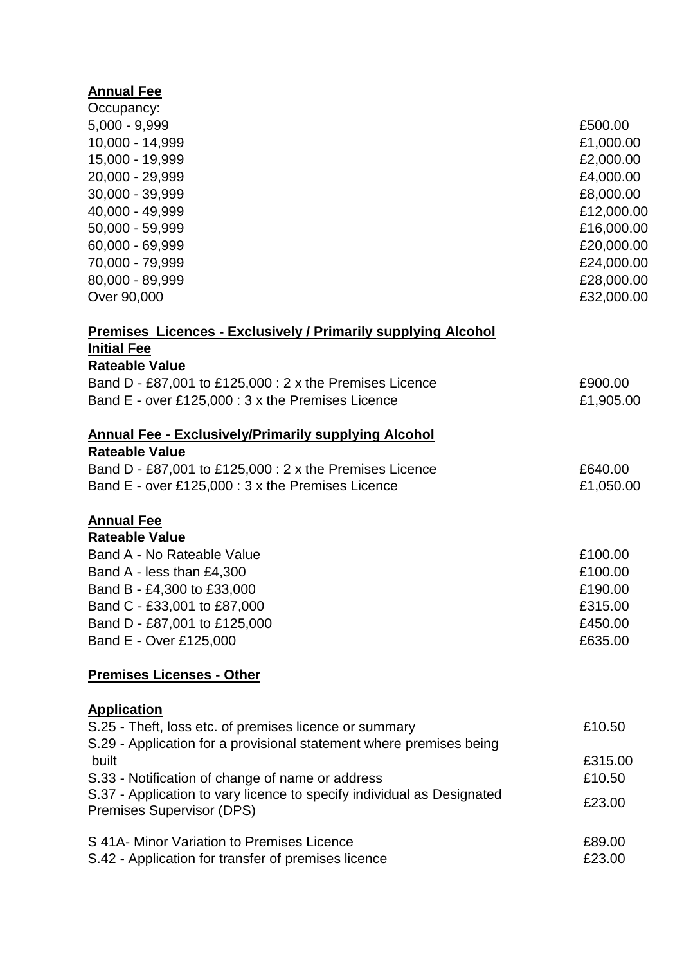# **Annual Fee**

| Occupancy:                                                           |            |
|----------------------------------------------------------------------|------------|
| $5,000 - 9,999$                                                      | £500.00    |
| 10,000 - 14,999                                                      | £1,000.00  |
| 15,000 - 19,999                                                      | £2,000.00  |
| 20,000 - 29,999                                                      | £4,000.00  |
| 30,000 - 39,999                                                      | £8,000.00  |
| 40,000 - 49,999                                                      | £12,000.00 |
| 50,000 - 59,999                                                      | £16,000.00 |
| 60,000 - 69,999                                                      | £20,000.00 |
| 70,000 - 79,999                                                      | £24,000.00 |
| 80,000 - 89,999                                                      | £28,000.00 |
| Over 90,000                                                          | £32,000.00 |
| <b>Premises Licences - Exclusively / Primarily supplying Alcohol</b> |            |
| <b>Initial Fee</b>                                                   |            |
| <b>Rateable Value</b>                                                |            |
| Band D - £87,001 to £125,000 : 2 x the Premises Licence              | £900.00    |
| Band E - over £125,000 : 3 x the Premises Licence                    | £1,905.00  |
| <b>Annual Fee - Exclusively/Primarily supplying Alcohol</b>          |            |
| <b>Rateable Value</b>                                                |            |
| Band D - £87,001 to £125,000 : 2 x the Premises Licence              | £640.00    |
| Band E - over £125,000 : 3 x the Premises Licence                    | £1,050.00  |
| <b>Annual Fee</b>                                                    |            |
| <b>Rateable Value</b>                                                |            |
| Band A - No Rateable Value                                           | £100.00    |
| Band A - less than £4,300                                            | £100.00    |
| Band B - £4,300 to £33,000                                           | £190.00    |
| Band C - £33,001 to £87,000                                          | £315.00    |
| Band D - £87,001 to £125,000                                         | £450.00    |
| Band E - Over £125,000                                               | £635.00    |
| <b>Premises Licenses - Other</b>                                     |            |
| <b>Application</b>                                                   |            |

| S.25 - Theft, loss etc. of premises licence or summary                                                                           | £10.50            |
|----------------------------------------------------------------------------------------------------------------------------------|-------------------|
| S.29 - Application for a provisional statement where premises being<br>built<br>S.33 - Notification of change of name or address | £315.00<br>£10.50 |
| S.37 - Application to vary licence to specify individual as Designated<br><b>Premises Supervisor (DPS)</b>                       | £23.00            |
| S 41A- Minor Variation to Premises Licence<br>S.42 - Application for transfer of premises licence                                | £89.00<br>£23.00  |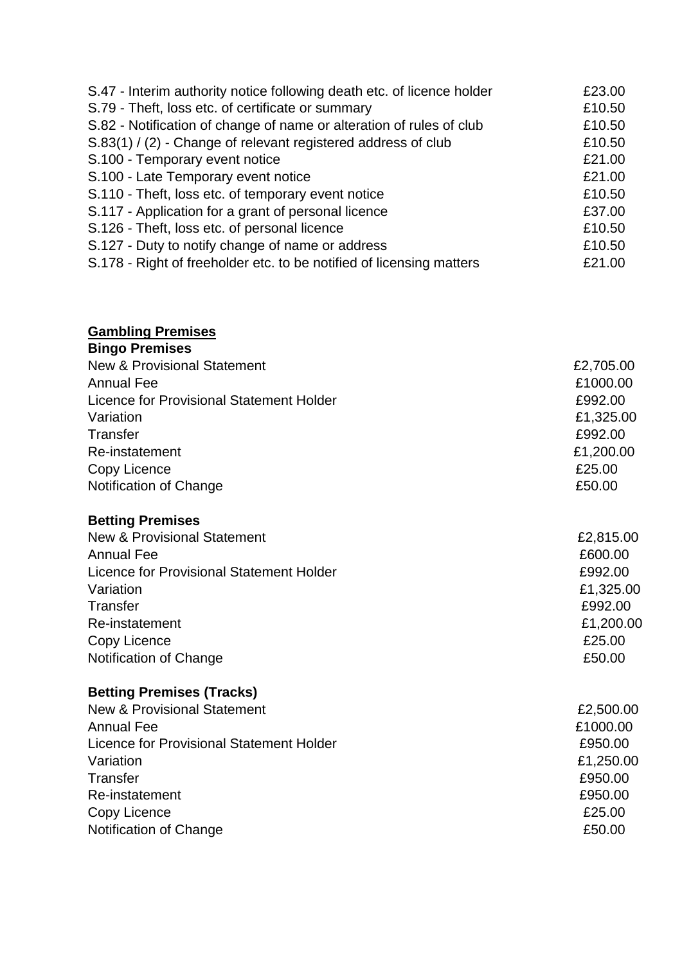| S.47 - Interim authority notice following death etc. of licence holder | £23.00 |
|------------------------------------------------------------------------|--------|
| S.79 - Theft, loss etc. of certificate or summary                      | £10.50 |
| S.82 - Notification of change of name or alteration of rules of club   | £10.50 |
| S.83(1) / (2) - Change of relevant registered address of club          | £10.50 |
| S.100 - Temporary event notice                                         | £21.00 |
| S.100 - Late Temporary event notice                                    | £21.00 |
| S.110 - Theft, loss etc. of temporary event notice                     | £10.50 |
| S.117 - Application for a grant of personal licence                    | £37.00 |
| S.126 - Theft, loss etc. of personal licence                           | £10.50 |
| S.127 - Duty to notify change of name or address                       | £10.50 |
| S.178 - Right of freeholder etc. to be notified of licensing matters   | £21.00 |

#### **Gambling Premises**

| <b>Bingo Premises</b>                    |           |
|------------------------------------------|-----------|
| <b>New &amp; Provisional Statement</b>   | £2,705.00 |
| <b>Annual Fee</b>                        | £1000.00  |
| Licence for Provisional Statement Holder | £992.00   |
| Variation                                | £1,325.00 |
| Transfer                                 | £992.00   |
| Re-instatement                           | £1,200.00 |
| Copy Licence                             | £25.00    |
| Notification of Change                   | £50.00    |
|                                          |           |

### **Betting Premises**

| <b>New &amp; Provisional Statement</b>          | £2,815.00 |
|-------------------------------------------------|-----------|
| <b>Annual Fee</b>                               | £600.00   |
| <b>Licence for Provisional Statement Holder</b> | £992.00   |
| Variation                                       | £1,325.00 |
| Transfer                                        | £992.00   |
| Re-instatement                                  | £1,200.00 |
| Copy Licence                                    | £25.00    |
| Notification of Change                          | £50.00    |

# **Betting Premises (Tracks)**

| <b>New &amp; Provisional Statement</b>   | £2,500.00 |
|------------------------------------------|-----------|
| <b>Annual Fee</b>                        | £1000.00  |
| Licence for Provisional Statement Holder | £950.00   |
| Variation                                | £1,250.00 |
| Transfer                                 | £950.00   |
| Re-instatement                           | £950.00   |
| Copy Licence                             | £25.00    |
| Notification of Change                   | £50.00    |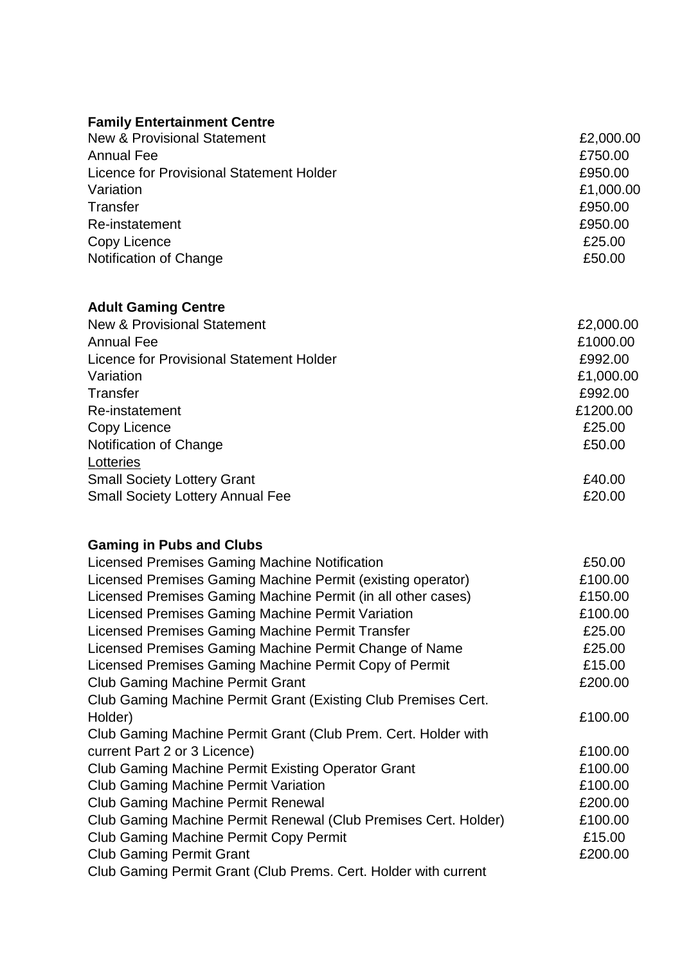# **Family Entertainment Centre**

| <b>New &amp; Provisional Statement</b>   | £2,000.00 |
|------------------------------------------|-----------|
| Annual Fee                               | £750.00   |
| Licence for Provisional Statement Holder | £950.00   |
| Variation                                | £1,000.00 |
| Transfer                                 | £950.00   |
| Re-instatement                           | £950.00   |
| Copy Licence                             | £25.00    |
| Notification of Change                   | £50.00    |
|                                          |           |

## **Adult Gaming Centre**

| <b>New &amp; Provisional Statement</b>          | £2,000.00 |
|-------------------------------------------------|-----------|
| <b>Annual Fee</b>                               | £1000.00  |
| <b>Licence for Provisional Statement Holder</b> | £992.00   |
| Variation                                       | £1,000.00 |
| Transfer                                        | £992.00   |
| Re-instatement                                  | £1200.00  |
| Copy Licence                                    | £25.00    |
| Notification of Change                          | £50.00    |
| Lotteries                                       |           |
| <b>Small Society Lottery Grant</b>              | £40.00    |
| <b>Small Society Lottery Annual Fee</b>         | £20.00    |
|                                                 |           |

## **Gaming in Pubs and Clubs**

| Licensed Premises Gaming Machine Notification                   | £50.00  |
|-----------------------------------------------------------------|---------|
| Licensed Premises Gaming Machine Permit (existing operator)     | £100.00 |
| Licensed Premises Gaming Machine Permit (in all other cases)    | £150.00 |
| Licensed Premises Gaming Machine Permit Variation               | £100.00 |
| Licensed Premises Gaming Machine Permit Transfer                | £25.00  |
| Licensed Premises Gaming Machine Permit Change of Name          | £25.00  |
| Licensed Premises Gaming Machine Permit Copy of Permit          | £15.00  |
| <b>Club Gaming Machine Permit Grant</b>                         | £200.00 |
| Club Gaming Machine Permit Grant (Existing Club Premises Cert.  |         |
| Holder)                                                         | £100.00 |
| Club Gaming Machine Permit Grant (Club Prem. Cert. Holder with  |         |
| current Part 2 or 3 Licence)                                    | £100.00 |
| <b>Club Gaming Machine Permit Existing Operator Grant</b>       | £100.00 |
| <b>Club Gaming Machine Permit Variation</b>                     | £100.00 |
| <b>Club Gaming Machine Permit Renewal</b>                       | £200.00 |
| Club Gaming Machine Permit Renewal (Club Premises Cert. Holder) | £100.00 |
| <b>Club Gaming Machine Permit Copy Permit</b>                   | £15.00  |
| <b>Club Gaming Permit Grant</b>                                 | £200.00 |
| Club Gaming Permit Grant (Club Prems. Cert. Holder with current |         |